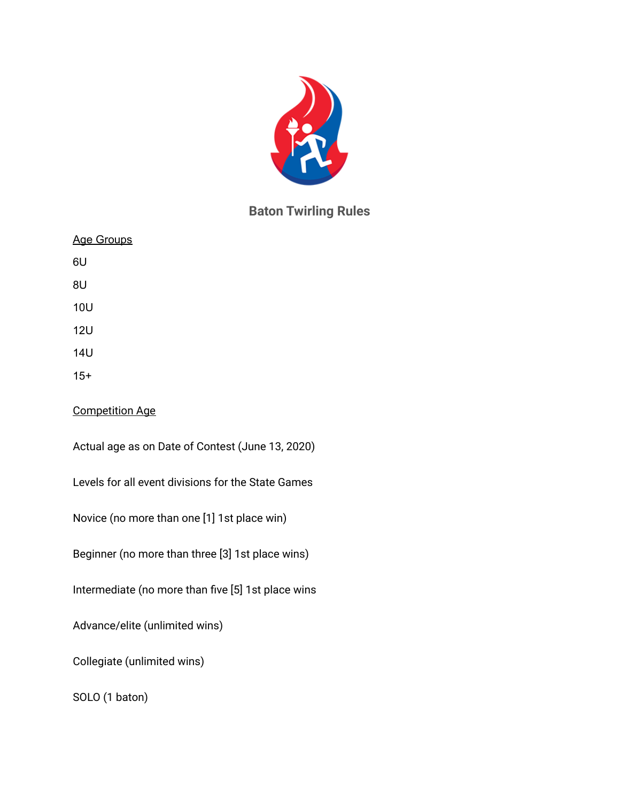

# **Baton Twirling Rules**

| <b>Age Groups</b>                                  |  |
|----------------------------------------------------|--|
| 6U                                                 |  |
| 8U                                                 |  |
| <b>10U</b>                                         |  |
| <b>12U</b>                                         |  |
| <b>14U</b>                                         |  |
| $15+$                                              |  |
| <b>Competition Age</b>                             |  |
| Actual age as on Date of Contest (June 13, 2020)   |  |
| Levels for all event divisions for the State Games |  |
| Novice (no more than one [1] 1st place win)        |  |
| Beginner (no more than three [3] 1st place wins)   |  |
| Intermediate (no more than five [5] 1st place wins |  |
| Advance/elite (unlimited wins)                     |  |
| Collegiate (unlimited wins)                        |  |
| SOLO (1 baton)                                     |  |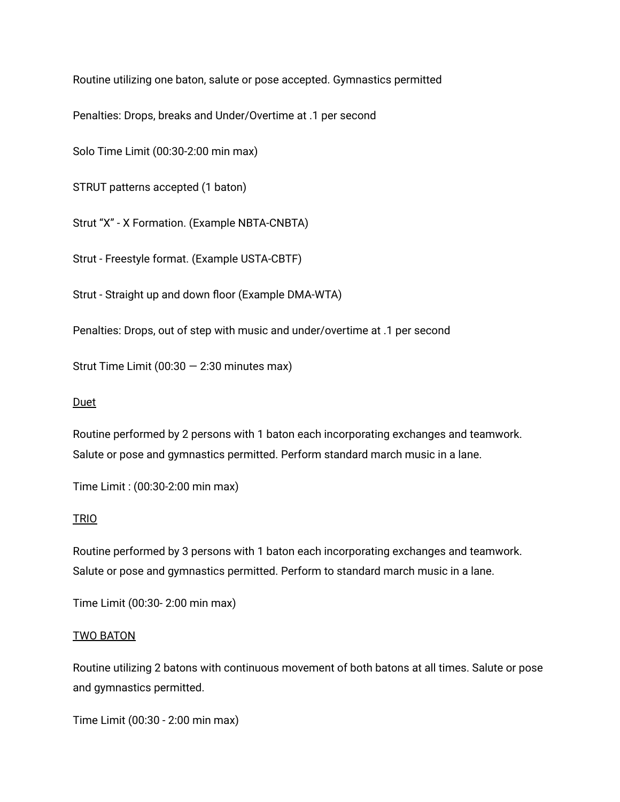Routine utilizing one baton, salute or pose accepted. Gymnastics permitted

Penalties: Drops, breaks and Under/Overtime at .1 per second

Solo Time Limit (00:30-2:00 min max)

STRUT patterns accepted (1 baton)

Strut "X" - X Formation. (Example NBTA-CNBTA)

Strut - Freestyle format. (Example USTA-CBTF)

Strut - Straight up and down floor (Example DMA-WTA)

Penalties: Drops, out of step with music and under/overtime at .1 per second

Strut Time Limit  $(00:30 - 2:30$  minutes max)

## Duet

Routine performed by 2 persons with 1 baton each incorporating exchanges and teamwork. Salute or pose and gymnastics permitted. Perform standard march music in a lane.

Time Limit : (00:30-2:00 min max)

## TRIO

Routine performed by 3 persons with 1 baton each incorporating exchanges and teamwork. Salute or pose and gymnastics permitted. Perform to standard march music in a lane.

Time Limit (00:30- 2:00 min max)

## TWO BATON

Routine utilizing 2 batons with continuous movement of both batons at all times. Salute or pose and gymnastics permitted.

Time Limit (00:30 - 2:00 min max)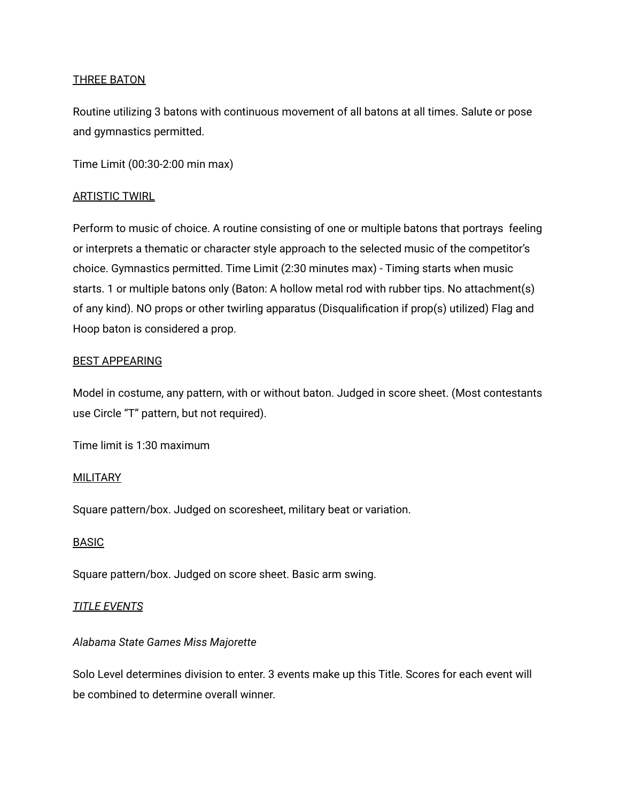## THREE BATON

Routine utilizing 3 batons with continuous movement of all batons at all times. Salute or pose and gymnastics permitted.

Time Limit (00:30-2:00 min max)

## ARTISTIC TWIRL

Perform to music of choice. A routine consisting of one or multiple batons that portrays feeling or interprets a thematic or character style approach to the selected music of the competitor's choice. Gymnastics permitted. Time Limit (2:30 minutes max) - Timing starts when music starts. 1 or multiple batons only (Baton: A hollow metal rod with rubber tips. No attachment(s) of any kind). NO props or other twirling apparatus (Disqualification if prop(s) utilized) Flag and Hoop baton is considered a prop.

## BEST APPEARING

Model in costume, any pattern, with or without baton. Judged in score sheet. (Most contestants use Circle "T" pattern, but not required).

Time limit is 1:30 maximum

## **MILITARY**

Square pattern/box. Judged on scoresheet, military beat or variation.

## BASIC

Square pattern/box. Judged on score sheet. Basic arm swing.

## *TITLE EVENTS*

## *Alabama State Games Miss Majorette*

Solo Level determines division to enter. 3 events make up this Title. Scores for each event will be combined to determine overall winner.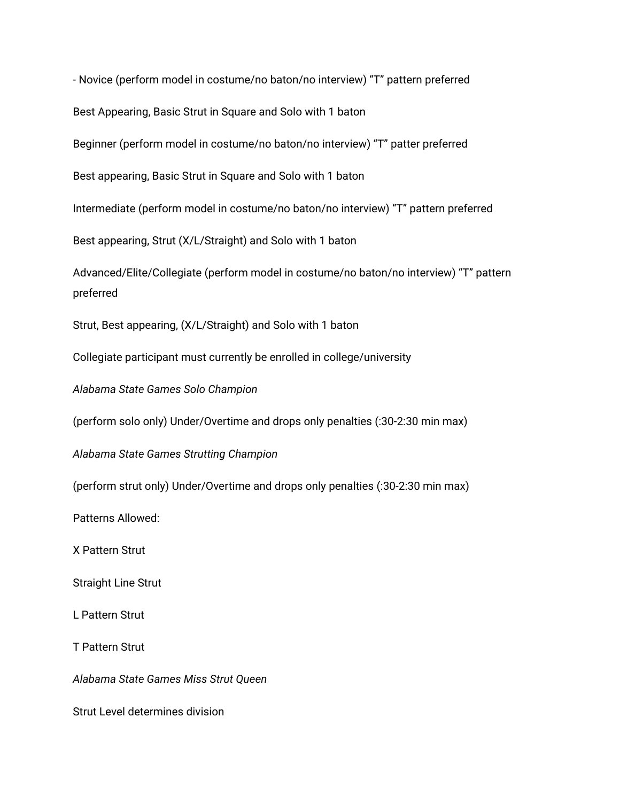- Novice (perform model in costume/no baton/no interview) "T" pattern preferred Best Appearing, Basic Strut in Square and Solo with 1 baton Beginner (perform model in costume/no baton/no interview) "T" patter preferred Best appearing, Basic Strut in Square and Solo with 1 baton Intermediate (perform model in costume/no baton/no interview) "T" pattern preferred Best appearing, Strut (X/L/Straight) and Solo with 1 baton Advanced/Elite/Collegiate (perform model in costume/no baton/no interview) "T" pattern preferred Strut, Best appearing, (X/L/Straight) and Solo with 1 baton Collegiate participant must currently be enrolled in college/university *Alabama State Games Solo Champion* (perform solo only) Under/Overtime and drops only penalties (:30-2:30 min max) *Alabama State Games Strutting Champion* (perform strut only) Under/Overtime and drops only penalties (:30-2:30 min max) Patterns Allowed: X Pattern Strut Straight Line Strut L Pattern Strut T Pattern Strut *Alabama State Games Miss Strut Queen* Strut Level determines division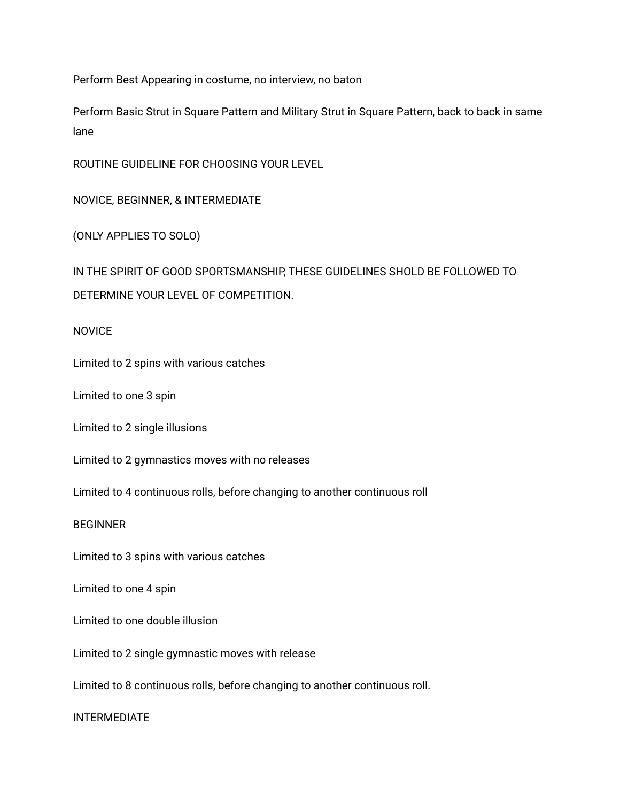Perform Best Appearing in costume, no interview, no baton

Perform Basic Strut in Square Pattern and Military Strut in Square Pattern, back to back in same lane

ROUTINE GUIDELINE FOR CHOOSING YOUR LEVEL

NOVICE, BEGINNER, & INTERMEDIATE

(ONLY APPLIES TO SOLO)

IN THE SPIRIT OF GOOD SPORTSMANSHIP, THESE GUIDELINES SHOLD BE FOLLOWED TO DETERMINE YOUR LEVEL OF COMPETITION.

NOVICE

Limited to 2 spins with various catches

Limited to one 3 spin

Limited to 2 single illusions

Limited to 2 gymnastics moves with no releases

Limited to 4 continuous rolls, before changing to another continuous roll

**BEGINNER** 

Limited to 3 spins with various catches

Limited to one 4 spin

Limited to one double illusion

Limited to 2 single gymnastic moves with release

Limited to 8 continuous rolls, before changing to another continuous roll.

INTERMEDIATE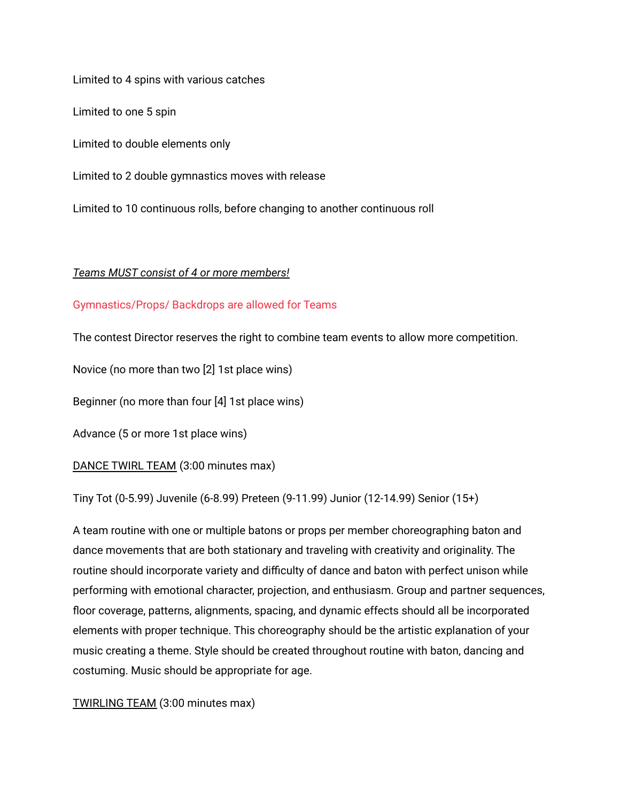Limited to 4 spins with various catches Limited to one 5 spin Limited to double elements only Limited to 2 double gymnastics moves with release Limited to 10 continuous rolls, before changing to another continuous roll

## *Teams MUST consist of 4 or more members!*

## Gymnastics/Props/ Backdrops are allowed for Teams

The contest Director reserves the right to combine team events to allow more competition.

Novice (no more than two [2] 1st place wins)

Beginner (no more than four [4] 1st place wins)

Advance (5 or more 1st place wins)

DANCE TWIRL TEAM (3:00 minutes max)

Tiny Tot (0-5.99) Juvenile (6-8.99) Preteen (9-11.99) Junior (12-14.99) Senior (15+)

A team routine with one or multiple batons or props per member choreographing baton and dance movements that are both stationary and traveling with creativity and originality. The routine should incorporate variety and difficulty of dance and baton with perfect unison while performing with emotional character, projection, and enthusiasm. Group and partner sequences, floor coverage, patterns, alignments, spacing, and dynamic effects should all be incorporated elements with proper technique. This choreography should be the artistic explanation of your music creating a theme. Style should be created throughout routine with baton, dancing and costuming. Music should be appropriate for age.

## TWIRLING TEAM (3:00 minutes max)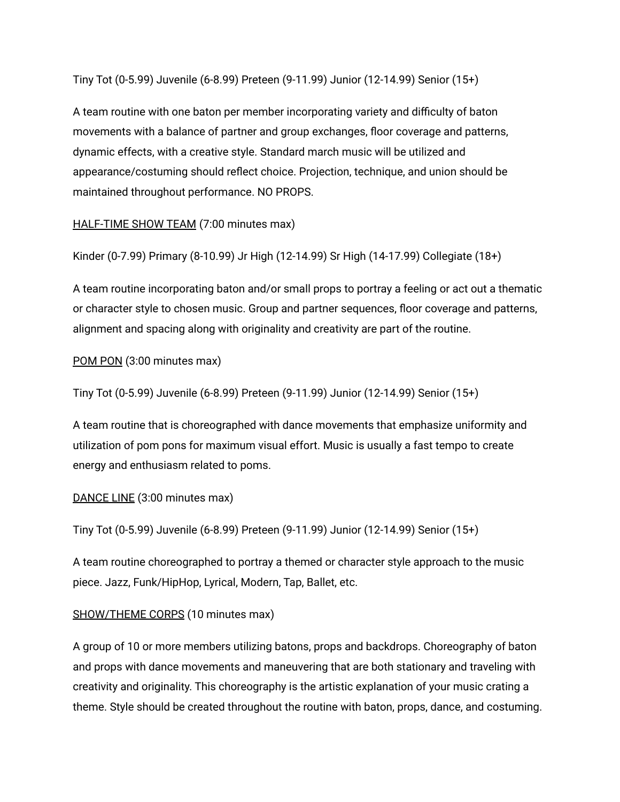Tiny Tot (0-5.99) Juvenile (6-8.99) Preteen (9-11.99) Junior (12-14.99) Senior (15+)

A team routine with one baton per member incorporating variety and difficulty of baton movements with a balance of partner and group exchanges, floor coverage and patterns, dynamic effects, with a creative style. Standard march music will be utilized and appearance/costuming should reflect choice. Projection, technique, and union should be maintained throughout performance. NO PROPS.

HALF-TIME SHOW TEAM (7:00 minutes max)

Kinder (0-7.99) Primary (8-10.99) Jr High (12-14.99) Sr High (14-17.99) Collegiate (18+)

A team routine incorporating baton and/or small props to portray a feeling or act out a thematic or character style to chosen music. Group and partner sequences, floor coverage and patterns, alignment and spacing along with originality and creativity are part of the routine.

## POM PON (3:00 minutes max)

Tiny Tot (0-5.99) Juvenile (6-8.99) Preteen (9-11.99) Junior (12-14.99) Senior (15+)

A team routine that is choreographed with dance movements that emphasize uniformity and utilization of pom pons for maximum visual effort. Music is usually a fast tempo to create energy and enthusiasm related to poms.

## DANCE LINE (3:00 minutes max)

Tiny Tot (0-5.99) Juvenile (6-8.99) Preteen (9-11.99) Junior (12-14.99) Senior (15+)

A team routine choreographed to portray a themed or character style approach to the music piece. Jazz, Funk/HipHop, Lyrical, Modern, Tap, Ballet, etc.

## SHOW/THEME CORPS (10 minutes max)

A group of 10 or more members utilizing batons, props and backdrops. Choreography of baton and props with dance movements and maneuvering that are both stationary and traveling with creativity and originality. This choreography is the artistic explanation of your music crating a theme. Style should be created throughout the routine with baton, props, dance, and costuming.